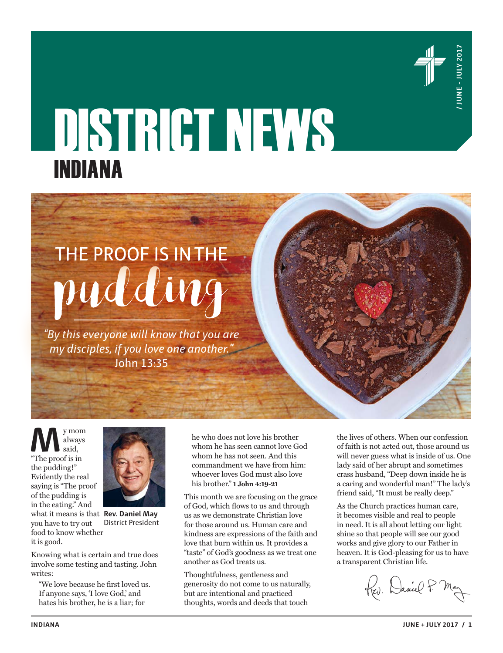

# DISTRICT NEWS **INDIANA**<br>
THE PROOF IS INTHE<br>  $p u d d u g$ INDIANA

*"By this everyone will know that you are my disciples, if you love one another."*  John 13:35

**M** said, "The proof is in always said, the pudding!" Evidently the real saying is "The proof of the pudding is in the eating." And

you have to try out

it is good.



what it means is that **Rev. Daniel May** food to know whether District President

Knowing what is certain and true does involve some testing and tasting. John writes:

"We love because he first loved us. If anyone says, 'I love God,' and hates his brother, he is a liar; for

he who does not love his brother whom he has seen cannot love God whom he has not seen. And this commandment we have from him: whoever loves God must also love his brother." **1 John 4:19-21**

This month we are focusing on the grace of God, which flows to us and through us as we demonstrate Christian love for those around us. Human care and kindness are expressions of the faith and love that burn within us. It provides a "taste" of God's goodness as we treat one another as God treats us.

Thoughtfulness, gentleness and generosity do not come to us naturally, but are intentional and practiced thoughts, words and deeds that touch

the lives of others. When our confession of faith is not acted out, those around us will never guess what is inside of us. One lady said of her abrupt and sometimes crass husband, "Deep down inside he is a caring and wonderful man!" The lady's friend said, "It must be really deep."

As the Church practices human care, it becomes visible and real to people in need. It is all about letting our light shine so that people will see our good works and give glory to our Father in heaven. It is God-pleasing for us to have a transparent Christian life.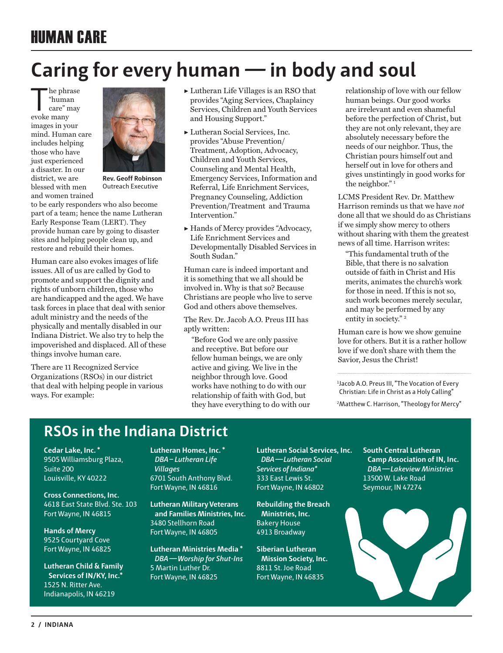# HUMAN CARE

# **Caring for every human — in body and soul**

The phrase<br>
"human"<br>
care" may<br>
evoke many "human evoke many images in your mind. Human care includes helping those who have just experienced a disaster. In our district, we are blessed with men and women trained



**Rev. Geoff Robinson** Outreach Executive

to be early responders who also become part of a team; hence the name Lutheran Early Response Team (LERT). They provide human care by going to disaster sites and helping people clean up, and restore and rebuild their homes.

Human care also evokes images of life issues. All of us are called by God to promote and support the dignity and rights of unborn children, those who are handicapped and the aged. We have task forces in place that deal with senior adult ministry and the needs of the physically and mentally disabled in our Indiana District. We also try to help the impoverished and displaced. All of these things involve human care.

There are 11 Recognized Service Organizations (RSOs) in our district that deal with helping people in various ways. For example:

- $\blacktriangleright$  Lutheran Life Villages is an RSO that provides "Aging Services, Chaplaincy Services, Children and Youth Services and Housing Support."
- ▶ Lutheran Social Services, Inc. provides "Abuse Prevention/ Treatment, Adoption, Advocacy, Children and Youth Services, Counseling and Mental Health, Emergency Services, Information and Referral, Life Enrichment Services, Pregnancy Counseling, Addiction Prevention/Treatment and Trauma Intervention.'
- ▶ Hands of Mercy provides "Advocacy, Life Enrichment Services and Developmentally Disabled Services in South Sudan."

Human care is indeed important and it is something that we all should be involved in. Why is that so? Because Christians are people who live to serve God and others above themselves.

The Rev. Dr. Jacob A.O. Preus III has aptly written:

"Before God we are only passive and receptive. But before our fellow human beings, we are only active and giving. We live in the neighbor through love. Good works have nothing to do with our relationship of faith with God, but they have everything to do with our relationship of love with our fellow human beings. Our good works are irrelevant and even shameful before the perfection of Christ, but they are not only relevant, they are absolutely necessary before the needs of our neighbor. Thus, the Christian pours himself out and herself out in love for others and gives unstintingly in good works for the neighbor."<sup>1</sup>

LCMS President Rev. Dr. Matthew Harrison reminds us that we have *not* done all that we should do as Christians if we simply show mercy to others without sharing with them the greatest news of all time. Harrison writes:

"This fundamental truth of the Bible, that there is no salvation outside of faith in Christ and His merits, animates the church's work for those in need. If this is not so, such work becomes merely secular, and may be performed by any entity in society."<sup>2</sup>

Human care is how we show genuine love for others. But it is a rather hollow love if we don't share with them the Savior, Jesus the Christ!

1 Jacob A.O. Preus III, "The Vocation of Every Christian: Life in Christ as a Holy Calling"

2 Matthew C. Harrison, "Theology for Mercy"

## **RSOs in the Indiana District**

**Cedar Lake, Inc. \***  9505 Williamsburg Plaza, Suite 200 Louisville, KY 40222

**Cross Connections, Inc.**  4618 East State Blvd. Ste. 103 Fort Wayne, IN 46815

**Hands of Mercy**  9525 Courtyard Cove Fort Wayne, IN 46825

**Lutheran Child & Family Services of IN/KY, Inc.\***  1525 N. Ritter Ave. Indianapolis, IN 46219

**Lutheran Homes, Inc. \*** *DBA– Lutheran Life Villages*  6701 South Anthony Blvd. Fort Wayne, IN 46816

**Lutheran Military Veterans and Families Ministries, Inc.**  3480 Stellhorn Road Fort Wayne, IN 46805

**Lutheran Ministries Media \***   *DBA—Worship for Shut-Ins*  5 Martin Luther Dr. Fort Wayne, IN 46825

**Lutheran Social Services, Inc.**   *DBA—Lutheran Social Services of Indiana\**  333 East Lewis St. Fort Wayne, IN 46802

**Rebuilding the Breach Ministries, Inc.**  Bakery House 4913 Broadway

**Siberian Lutheran Mission Society, Inc.**  8811 St. Joe Road Fort Wayne, IN 46835

**South Central Lutheran Camp Association of IN, Inc.** *DBA—Lakeview Ministries*  13500 W. Lake Road Seymour, IN 47274

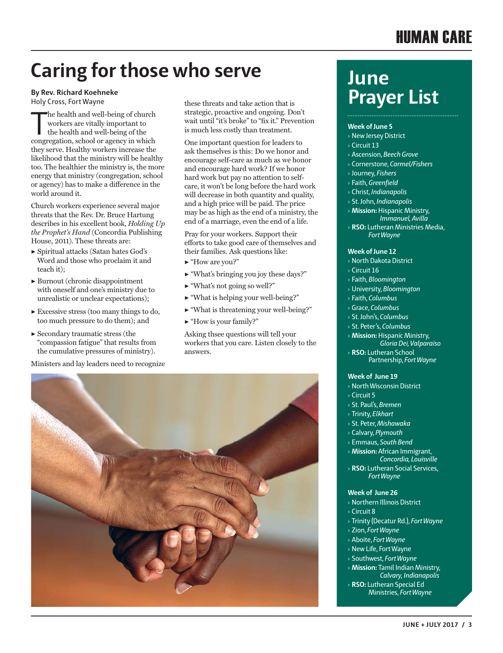## HUMAN CARE

# **Caring for those who serve**

**By Rev. Richard Koehneke** Holy Cross, Fort Wayne

The health and well-being of church workers are vitally important to the health and well-being of the congregation, school or agency in which he health and well-being of church workers are vitally important to the health and well-being of the they serve. Healthy workers increase the likelihood that the ministry will be healthy too. The healthier the ministry is, the more energy that ministry (congregation, school or agency) has to make a difference in the world around it.

Church workers experience several major threats that the Rev. Dr. Bruce Hartung describes in his excellent book, *Holding Up the Prophet's Hand* (Concordia Publishing House, 2011). These threats are:

- ▶ Spiritual attacks (Satan hates God's Word and those who proclaim it and teach it);
- ▶ Burnout (chronic disappointment with oneself and one's ministry due to unrealistic or unclear expectations);
- $\blacktriangleright$  Excessive stress (too many things to do, too much pressure to do them); and
- $\blacktriangleright$  Secondary traumatic stress (the "compassion fatigue" that results from the cumulative pressures of ministry).

Ministers and lay leaders need to recognize

these threats and take action that is strategic, proactive and ongoing. Don't wait until "it's broke" to "fix it." Prevention is much less costly than treatment.

One important question for leaders to ask themselves is this: Do we honor and encourage self-care as much as we honor and encourage hard work? If we honor hard work but pay no attention to selfcare, it won't be long before the hard work will decrease in both quantity and quality, and a high price will be paid. The price may be as high as the end of a ministry, the end of a marriage, even the end of a life.

Pray for your workers. Support their efforts to take good care of themselves and their families. Ask questions like:

- ▶ "How are you?"
- ▶ "What's bringing you joy these days?"
- $\blacktriangleright$  "What's not going so well?"
- $\blacktriangleright$  "What is helping your well-being?"
- ▶ "What is threatening your well-being?"
- $\blacktriangleright$  "How is your family?"

Asking thsee questions will tell your workers that you care. Listen closely to the answers.



# **June Prayer List**

## **Week of June 5**

- › New Jersey District
- › Circuit 13
- › Ascension, *Beech Grove*
- › Cornerstone, *Carmel/Fishers*
- › Journey, *Fishers*
- › Faith, *Greenfield*
- › Christ, *Indianapolis*
- › St. John, *Indianapolis*
- › **Mission:** Hispanic Ministry,  *Immanuel, Avilla*
- › **RSO:** Lutheran Ministries Media,  *Fort Wayne*

## **Week of June 12**

- › North Dakota District
- › Circuit 16
- › Faith, *Bloomington*
- › University, *Bloomington*
- › Faith, *Columbus*
- › Grace, *Columbus*
- › St. John's, *Columbus*
- › St. Peter's, *Columbus*
- › **Mission:** Hispanic Ministry, *Gloria Dei, Valparaiso*
- › **RSO:** Lutheran School Partnership, *Fort Wayne*

## **Week of June 19**

- › North Wisconsin District › Circuit 5
- › St. Paul's, *Bremen*
- › Trinity, *Elkhart*
- › St. Peter, *Mishawaka*
- › Calvary, *Plymouth*
- › Emmaus, *South Bend*
- › **Mission:** African Immigrant,  *Concordia, Louisville*
- › **RSO:** Lutheran Social Services,  *Fort Wayne*

## **Week of June 26**

- › Northern Illinois District
- › Circuit 8
- › Trinity (Decatur Rd.), *Fort Wayne*
- › Zion, *Fort Wayne*
- › Aboite, *Fort Wayne*
- › New Life, Fort Wayne
- › Southwest, *Fort Wayne*
- › **Mission:** Tamil Indian Ministry, *Calvary, Indianapolis*
- › **RSO:** Lutheran Special Ed Ministries, *Fort Wayne*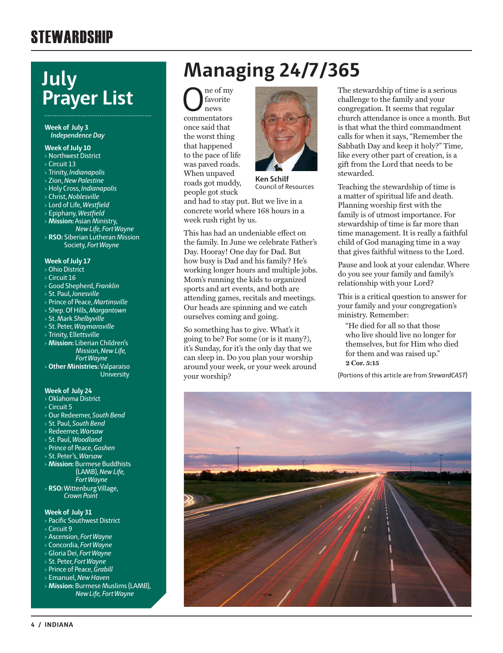# **STEWARDSHIP**

# **July Prayer List**

## **Week of July 3** *Independence Day*

## **Week of July 10**

- › Northwest District
- › Circuit 13
- › Trinity, *Indianapolis*
- › Zion, *New Palestine*
- › Holy Cross, *Indianapolis*
- › Christ, *Noblesville*
- › Lord of Life, *Westfield*
- › Epiphany, *Westfield*
- › **Mission:** Asian Ministry,
- *New Life, Fort Wayne* › **RSO:** Siberian Lutheran Mission Society, *Fort Wayne*

## **Week of July 17**

- › Ohio District
- › Circuit 16
- › Good Shepherd, *Franklin*
- › St. Paul, *Jonesville*
- › Prince of Peace, *Martinsville*
- › Shep. Of Hills, *Morgantown*
- › St. Mark *Shelbyville*
- › St. Peter, *Waymansville*
- › Trinity, Ellettsville
- › **Mission:** Liberian Children's Mission, *New Life, Fort Wayne*
- › **Other Ministries:** Valparaiso **University**

## **Week of July 24**

- › Oklahoma District
- › Circuit 5
- › Our Redeemer, *South Bend*
- › St. Paul, *South Bend*
- › Redeemer, *Warsaw*
- › St. Paul, *Woodland*
- › Prince of Peace, *Goshen*
- › St. Peter's, *Warsaw*
- › **Mission:** Burmese Buddhists (LAMB), *New Life, Fort Wayne*
- › **RSO:** Wittenburg Village, *Crown Point*

## **Week of July 31**

- › Pacific Southwest District
- › Circuit 9
- › Ascension, *Fort Wayne*
- › Concordia, *Fort Wayne*
- › Gloria Dei, *Fort Wayne*
- › St. Peter, *Fort Wayne* › Prince of Peace, *Grabill*
- › Emanuel, *New Haven*
- 
- › **Mission:** Burmese Muslims (LAMB), *New Life, Fort Wayne*

# **Managing 24/7/365**

 $\begin{array}{c} \displaystyle\bigcap_{\text{new}}\begin{subarray}{c} \text{ne of my} \\ \text{news} \end{subarray} \end{array}$ favorite news once said that the worst thing that happened to the pace of life was paved roads. When unpaved roads got muddy, people got stuck



**Ken Schilf** Council of Resources

and had to stay put. But we live in a concrete world where 168 hours in a week rush right by us.

This has had an undeniable effect on the family. In June we celebrate Father's Day. Hooray! One day for Dad. But how busy is Dad and his family? He's working longer hours and multiple jobs. Mom's running the kids to organized sports and art events, and both are attending games, recitals and meetings. Our heads are spinning and we catch ourselves coming and going.

So something has to give. What's it going to be? For some (or is it many?), it's Sunday, for it's the only day that we can sleep in. Do you plan your worship around your week, or your week around your worship?

The stewardship of time is a serious challenge to the family and your congregation. It seems that regular church attendance is once a month. But is that what the third commandment calls for when it says, "Remember the Sabbath Day and keep it holy?" Time, like every other part of creation, is a gift from the Lord that needs to be stewarded.

Teaching the stewardship of time is a matter of spiritual life and death. Planning worship first with the family is of utmost importance. For stewardship of time is far more than time management. It is really a faithful child of God managing time in a way that gives faithful witness to the Lord.

Pause and look at your calendar. Where do you see your family and family's relationship with your Lord?

This is a critical question to answer for your family and your congregation's ministry. Remember:

"He died for all so that those who live should live no longer for themselves, but for Him who died for them and was raised up." **2 Cor. 5:15**

(Portions of this article are from *StewardCAST*)

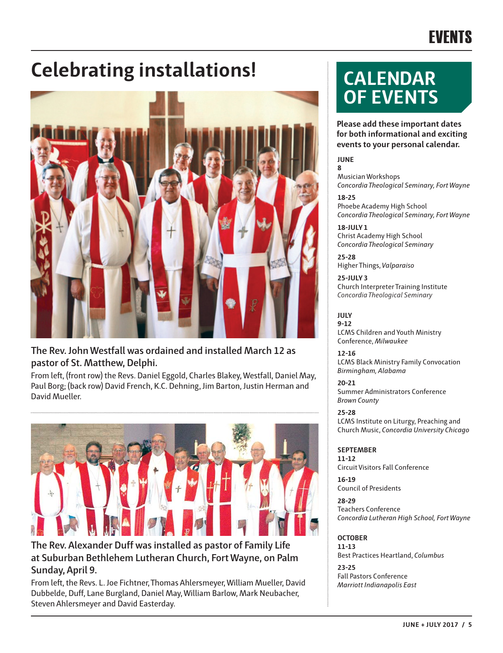# EVENTS

# **Celebrating installations! CALENDAR**



## **The Rev. John Westfall was ordained and installed March 12 as pastor of St. Matthew, Delphi.**

From left, (front row) the Revs. Daniel Eggold, Charles Blakey, Westfall, Daniel May, Paul Borg; (back row) David French, K.C. Dehning, Jim Barton, Justin Herman and David Mueller.



## **The Rev. Alexander Duff was installed as pastor of Family Life at Suburban Bethlehem Lutheran Church, Fort Wayne, on Palm Sunday, April 9.**

From left, the Revs. L. Joe Fichtner, Thomas Ahlersmeyer, William Mueller, David Dubbelde, Duff, Lane Burgland, Daniel May, William Barlow, Mark Neubacher, Steven Ahlersmeyer and David Easterday.

# **OF EVENTS**

**Please add these important dates for both informational and exciting events to your personal calendar.**

## **JUNE**

**8** Musician Workshops *Concordia Theological Seminary, Fort Wayne*

**18-25** Phoebe Academy High School *Concordia Theological Seminary, Fort Wayne*

**18-JULY 1** Christ Academy High School *Concordia Theological Seminary*

**25-28** Higher Things, *Valparaiso*

**25-JULY 3** Church Interpreter Training Institute *Concordia Theological Seminary* 

**JULY 9-12** LCMS Children and Youth Ministry Conference, *Milwaukee*

**12-16** LCMS Black Ministry Family Convocation *Birmingham, Alabama*

**20-21** Summer Administrators Conference *Brown County*

**25-28** LCMS Institute on Liturgy, Preaching and Church Music, *Concordia University Chicago*

## **SEPTEMBER 11-12**

Circuit Visitors Fall Conference

**16-19** Council of Presidents

**28-29** Teachers Conference *Concordia Lutheran High School, Fort Wayne*

## **OCTOBER**

**11-13** Best Practices Heartland, *Columbus* **23-25** Fall Pastors Conference *Marriott Indianapolis East*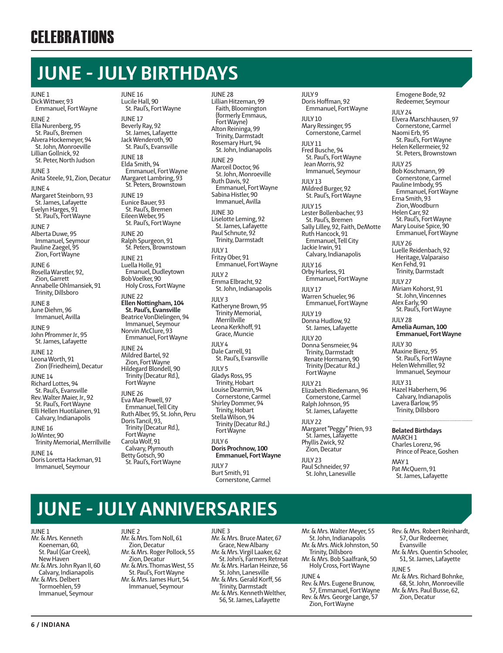# **JUNE - JULY BIRTHDAYS**

## JUNE 1

Dick Wittwer, 93 Emmanuel, Fort Wayne

JUNE 2 Ella Nurenberg, 95 St. Paul's, Bremen Alvera Hockemeyer, 94 St. John, Monroeville Lillian Gollnick, 92 St. Peter, North Judson

JUNE 3 Anita Steele, 91, Zion, Decatur

JUNE 4 Margaret Steinborn, 93 St. James, Lafayette Evelyn Harges, 91 St. Paul's, Fort Wayne

JUNE 7 Alberta Duwe, 95 Immanuel, Seymour Pauline Zaegel, 95 Zion, Fort Wayne

JUNE 6 Rosella Warstler, 92, Zion, Garrett Annabelle Ohlmansiek, 91 Trinity, Dillsboro

JUNE 8 June Diehm, 96 Immanuel, Avilla

JUNE 9 John Pfrommer Jr., 95 St. James, Lafayette

JUNE 12 Leona Worth, 91 Zion (Friedheim), Decatur

JUNE 14 Richard Lottes, 94 St. Paul's, Evansville Rev. Walter Maier, Jr., 92 St. Paul's, Fort Wayne Elli Hellen Huotilainen, 91 Calvary, Indianapolis

JUNE 16 Jo Winter, 90 Trinity Memorial, Merrillville

JUNE 14 Doris Loretta Hackman, 91 Immanuel, Seymour

JUNE 16 Lucile Hall, 90 St. Paul's, Fort Wayne

JUNE 17 Beverly Ray, 92 St. James, Lafayette Jack Wenderoth, 90 St. Paul's, Evansville

JUNE 18 Elda Smith, 94 Emmanuel, Fort Wayne Margaret Lambring, 93 St. Peters, Brownstown

JUNE 19 Eunice Bauer, 93 St. Paul's, Bremen Eileen Weber, 95 St. Paul's, Fort Wayne

JUNE 20 Ralph Spurgeon, 91 St. Peters, Brownstown

JUNE 21 Luella Holle, 91 Emanuel, Dudleytown Bob Voelker, 90 Holy Cross, Fort Wayne

JUNE 22 **Ellen Nottingham, 104 St. Paul's, Evansville** Beatrice VonDielingen, 94 Immanuel, Seymour Norvin McClure, 93 Emmanuel, Fort Wayne

JUNE 24 Mildred Bartel, 92 Zion, Fort Wayne Hildegard Blondell, 90

Trinity (Decatur Rd.), Fort Wayne JUNE 26 Eva Mae Powell, 97 Emmanuel, Tell City Ruth Alber, 95, St. John, Peru Doris Tancil, 93, Trinity (Decatur Rd.), Fort Wayne Carola Wolf, 91 Calvary, Plymouth Betty Gotsch, 90 St. Paul's, Fort Wayne

JUNE 28

Lillian Hitzeman, 99 Faith, Bloomington (formerly Emmaus, Fort Wayne) Alton Reininga, 99 Trinity, Darmstadt Rosemary Hurt, 94 St. John, Indianapolis

JUNE 29 Marceil Doctor, 96 St. John, Monroeville Ruth Davis, 92 Emmanuel, Fort Wayne Sabina Histler, 90 Immanuel, Avilla

JUNE 30 Liselotte Leming, 92 St. James, Lafayette Paul Schnute, 92 Trinity, Darmstadt

 $III$  Y<sub>1</sub> Fritzy Ober, 91 Emmanuel, Fort Wayne

 $IIIY2$ Emma Elbracht, 92 St. John, Indianapolis

 $IIIIY3$ Katheryne Brown, 95 Trinity Memorial, Merrillville Leona Kerkhoff, 91 Grace, Muncie

 $IIIVA$ Dale Carrell, 91 St. Paul's, Evansville

 $IIIY5$ Gladys Ross, 95 Trinity, Hobart Louise Dearmin, 94 Cornerstone, Carmel Shirley Dommer, 94 Trinity, Hobart Stella Wilson, 94 Trinity (Decatur Rd.,) Fort Wayne

JULY 6 **Doris Prochnow, 100 Emmanuel, Fort Wayne**

JULY 7 Burt Smith, 91 Cornerstone, Carmel JULY 9 Doris Hoffman, 92 Emmanuel, Fort Wayne

JULY 10 Mary Ressinger, 95 Cornerstone, Carmel

JULY 11 Fred Busche, 94 St. Paul's, Fort Wayne Jean Morris, 92 Immanuel, Seymour

 $IIIIY13$ Mildred Burger, 92 St. Paul's, Fort Wayne

JULY 15 Lester Bollenbacher, 93 St. Paul's, Bremen Sally Lilley, 92, Faith, DeMotte Ruth Hancock, 91 Emmanuel, Tell City Jackie Irwin, 91 Calvary, Indianapolis

JULY 16 Orby Hurless, 91 Emmanuel, Fort Wayne

JULY 17 Warren Schueler, 96 Emmanuel, Fort Wayne

JULY 19 Donna Hudlow, 92

St. James, Lafayette JULY 20 Donna Sensmeier, 94 Trinity, Darmstadt Renate Hormann, 90 Trinity (Decatur Rd.,) Fort Wayne

JULY 21 Elizabeth Riedemann, 96 Cornerstone, Carmel Ralph Johnson, 95 St. James, Lafayette

JULY 22 Margaret "Peggy" Prien, 93 St. James, Lafayette Phyllis Zwick, 92 Zion, Decatur

JULY 23 Paul Schneider, 97 St. John, Lanesville Emogene Bode, 92 Redeemer, Seymour

 $III$  Y 24 Elvera Marschhausen, 97 Cornerstone, Carmel Naomi Erb, 95 St. Paul's, Fort Wayne Helen Kellermeier, 92 St. Peters, Brownstown

JULY 25 Bob Koschmann, 99 Cornerstone, Carmel Pauline Imbody, 95 Emmanuel, Fort Wayne Erna Smith, 93 Zion, Woodburn Helen Carr, 92 St. Paul's, Fort Wayne Mary Louise Spice, 90 Emmanuel, Fort Wayne JULY 26 Luelle Reidenbach, 92

Heritage, Valparaiso Ken Fehd, 91 Trinity, Darmstadt

JULY 27 Miriam Kohorst, 91 St. John, Vincennes Alex Early, 90 St. Paul's, Fort Wayne

JULY 28 **Amelia Auman, 100 Emmanuel, Fort Wayne**

JULY 30 Maxine Bienz, 95 St. Paul's, Fort Wayne Helen Wehmiller, 92 Immanuel, Seymour

JULY 31 Hazel Haberhern, 96 Calvary, Indianapolis Lavera Barlow, 95 Trinity, Dillsboro

## **Belated Birthdays**

MARCH 1 Charles Lorenz, 96 Prince of Peace, Goshen

MAY 1 Pat McQuern, 91 St. James, Lafayette

# **JUNE - JULY ANNIVERSARIES**

JUNE 1

Mr. & Mrs. Kenneth Koeneman, 60, St. Paul (Gar Creek), New Haven Mr. & Mrs. John Ryan II, 60 Calvary, Indianapolis Mr. & Mrs. Delbert Tormoehlen, 59 Immanuel, Seymour

JUNE 2 Mr. & Mrs. Tom Noll, 61 Zion, Decatur Mr. & Mrs. Roger Pollock, 55 Zion, Decatur Mr. & Mrs. Thomas West, 55 St. Paul's, Fort Wayne Mr. & Mrs. James Hurt, 54 Immanuel, Seymour

JUNE 3

Mr. & Mrs. Bruce Mater, 67 Grace, New Albany Mr. & Mrs. Virgil Laaker, 62 St. John's, Farmers Retreat Mr. & Mrs. Harlan Heinze, 56 St. John, Lanesville Mr. & Mrs. Gerald Korff, 56 Trinity, Darmstadt Mr. & Mrs. Kenneth Welther, 56, St. James, Lafayette

Mr. & Mrs. Walter Meyer, 55 St. John, Indianapolis Mr. & Mrs. Mick Johnston, 50 Trinity, Dillsboro Mr. & Mrs. Bob Saalfrank, 50 Holy Cross, Fort Wayne

JUNE 4

Rev. & Mrs. Eugene Brunow, 57, Emmanuel, Fort Wayne Rev. & Mrs. George Lange, 57 Zion, Fort Wayne

Rev. & Mrs. Robert Reinhardt, 57, Our Redeemer, Evansville

Mr. & Mrs. Quentin Schooler, 51, St. James, Lafayette

JUNE 5

Mr. & Mrs. Richard Bohnke, 68, St. John, Monroeville Mr. & Mrs. Paul Busse, 62,

Zion, Decatur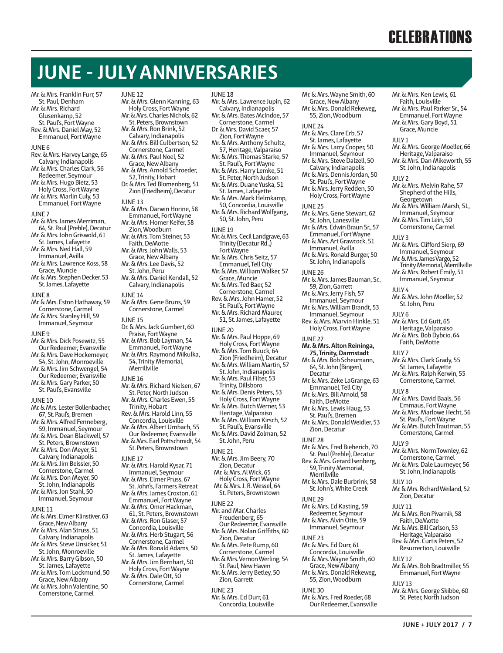# **CELEBRATIONS**

Mr. & Mrs. Ken Lewis, 61 Faith, Louisville Mr. & Mrs. Paul Parker Sr., 54

# **JUNE - JULY ANNIVERSARIES**

JUNE 12

Mr. & Mrs. Franklin Furr, 57 St. Paul, Denham Mr. & Mrs. Richard Glusenkamp, 52 St. Paul's, Fort Wayne Rev. & Mrs. Daniel May, 52

- Emmanuel, Fort Wayne
- JUNE 6
- Rev. & Mrs. Harvey Lange, 65 Calvary, Indianapolis Mr. & Mrs. Charles Clark, 56
- Redeemer, Seymour
- Mr. & Mrs. Hugo Bietz, 53 Holy Cross, Fort Wayne
- Mr. & Mrs. Marlin Culy, 53 Emmanuel, Fort Wayne
- JUNE 7
- Mr. & Mrs. James Merriman, 64, St. Paul (Preble), Decatur
- Mr. & Mrs. John Griswold, 61 St. James, Lafayette
- Mr. & Mrs. Ned Hall, 59 Immanuel, Avilla
- Mr. & Mrs. Lawrence Koss, 58 Grace, Muncie
- Mr. & Mrs. Stephen Decker, 53 St. James, Lafayette
- JUNE 8
- Mr. & Mrs. Eston Hathaway, 59 Cornerstone, Carmel Mr. & Mrs. Stanley Hill, 59 Immanuel, Seymour
- JUNE 9
- Mr. & Mrs. Dick Posewitz, 55 Our Redeemer, Evansville Mr. & Mrs. Dave Hockemeyer,
- 54, St. John, Monroeville Mr. & Mrs. Jim Schwengel, 54
- Our Redeemer, Evansville Mr. & Mrs. Gary Parker, 50
- St. Paul's, Evansville
- JUNE 10
- Mr. & Mrs. Lester Bollenbacher, 67, St. Paul's, Bremen Mr. & Mrs. Alfred Fenneberg, 59, Immanuel, Seymour
- Mr. & Mrs. Dean Blackwell, 57
- St. Peters, Brownstown Mr. & Mrs. Don Meyer, 51
- Calvary, Indianapolis
- Mr. & Mrs. Jim Beissler, 50 Cornerstone, Carmel
- Mr. & Mrs. Don Meyer, 50 St. John, Indianapolis
- Mr. & Mrs. Jon Stahl, 50 Immanuel, Seymour
- JUNE 11
- Mr. & Mrs. Elmer Klinstiver, 63 Grace, New Albany Mr. & Mrs. Alan Struss, 51
- Calvary, Indianapolis Mr. & Mrs. Steve Unsicker, 51
- St. John, Monroeville Mr. & Mrs. Barry Gibson, 50
- St. James, Lafayette Mr. & Mrs. Tom Lockmund, 50
- Grace, New Albany Mr. & Mrs. John Valentine, 50
- Cornerstone, Carmel

JUNE 18

JUNE 19

JUNE 20

JUNE 21

JUNE 22

Mr. & Mrs. Jim Beery, 70 Zion, Decatur Mr. & Mrs. Al Wick, 65 Holy Cross, Fort Wayne Mr. & Mrs. J. R. Wessel, 64 St. Peters, Brownstown

Mr. and Mar. Charles Freudenberg, 65 Our Redeemer, Evansville Mr. & Mrs. Nolan Griffiths, 60 Zion, Decatur Mr. & Mrs. Pete Rump, 60 Cornerstone, Carmel Mr. & Mrs. Vernon Werling, 54 St. Paul, New Haven Mr. & Mrs. Jerry Betley, 50

Mr. & Mrs. Paul Hoppe, 69 Holy Cross, Fort Wayne Mr. & Mrs. Tom Buuck, 64 Zion (Friedheim), Decatur Mr. & Mrs. William Martin, 57 St. John, Indianapolis Mr. & Mrs. Paul Filter, 53 Trinity, Dillsboro Mr. & Mrs. Denis Peters, 53 Holy Cross, Fort Wayne Mr. & Mrs. Butch Werner, 53 Heritage, Valparaiso Mr. & Mrs. William Kirsch, 52 St. Paul's, Evansville Mr. & Mrs. David Zolman, 52 St. John, Peru

Calvary, Indianapolis

Cornerstone, Carmel Dr. & Mrs. David Scaer, 57 Zion, Fort Wayne Mr. & Mrs. Anthony Schultz, 57, Heritage, Valparaiso Mr. & Mrs. Thomas Starke, 57 St. Paul's, Fort Wayne Mr. & Mrs. Harry Lemke, 51 St. Peter, North Judson Mr. & Mrs. Duane Yuska, 51 St. James, Lafayette Mr. & Mrs. Mark Helmkamp, 50, Concordia, Louisville Mr. & Mrs. Richard Wolfgang, 50, St. John, Peru

Mr. & Mrs. Cecil Landgrave, 63 Trinity (Decatur Rd.,) Fort Wayne Mr. & Mrs. Chris Seitz, 57 Emmanuel, Tell City Mr. & Mrs. William Walker, 57 Grace, Muncie Mr. & Mrs. Ted Baer, 52 Cornerstone, Carmel Rev. & Mrs. John Hamer, 52 St. Paul's, Fort Wayne Mr. & Mrs. Richard Maurer, 51, St. James, Lafayette

- Mr. & Mrs. Glenn Kanning, 63 Holy Cross, Fort Wayne Mr. & Mrs. Charles Nichols, 62 Mr. & Mrs. Lawrence Jupin, 62 Mr. & Mrs. Bates McIndoe, 57
- St. Peters, Brownstown Mr. & Mrs. Ron Brink, 52
- Calvary, Indianapolis
- Mr. & Mrs. Bill Culbertson, 52 Cornerstone, Carmel
- Mr. & Mrs. Paul Noel, 52 Grace, New Albany Mr. & Mrs. Arnold Schroeder,
- 52, Trinity, Hobart Dr. & Mrs. Ted Blomenberg, 51
- Zion (Friedheim), Decatur JUNE 13
- Mr. & Mrs. Darwin Horine, 58 Emmanuel, Fort Wayne
- Mr. & Mrs. Homer Keifer, 58 Zion, Woodburn
- Mr. & Mrs. Tom Steiner, 53
- Faith, DeMotte
- Mr. & Mrs. John Walls, 53 Grace, New Albany
- Mr. & Mrs. Lee Davis, 52 St. John, Peru
- Mr. & Mrs. Daniel Kendall, 52 Calvary, Indianapolis
- JUNE 14
- Mr. & Mrs. Gene Bruns, 59 Cornerstone, Carmel
- JUNE 15
- Dr. & Mrs. Jack Gumbert, 60 Praise, Fort Wayne
- Mr. & Mrs. Bob Layman, 54 Emmanuel, Fort Wayne
- Mr. & Mrs. Raymond Mikulka, 54, Trinity Memorial, Merrillville
- 
- JUNE 16 Mr. & Mrs. Richard Nielsen, 67 St. Peter, North Judson Mr. & Mrs. Charles Ewen, 55 Trinity, Hobart Rev. & Mrs. Harold Linn, 55 Concordia, Louisville Mr. & Mrs. Albert Umbach, 55 Our Redeemer, Evansville Mr. & Mrs. Earl Pottschmidt, 54 St. Peters, Brownstown JUNE 17 Mr. & Mrs. Harold Kysar, 71 Immanuel, Seymour Mr. & Mrs. Elmer Pruss, 67 St. John's, Farmers Retreat Mr. & Mrs. James Croxton, 61 Emmanuel, Fort Wayne Mr. & Mrs. Omer Hackman, 61, St. Peters, Brownstown Mr. & Mrs. Ron Glaser, 57 Concordia, Louisville Mr. & Mrs. Herb Stugart, 56
- Cornerstone, Carmel Mr. & Mrs. Ronald Adams, 50 St. James, Lafayette Mr. & Mrs. Jim Bernhart, 50 Holy Cross, Fort Wayne
- Mr. & Mrs. Dale Ott, 50 Cornerstone, Carmel
- Zion, Garrett JUNE 23 Mr. & Mrs. Ed Durr, 61 Concordia, Louisville

Mr. & Mrs. Wayne Smith, 60 Grace, New Albany Mr. & Mrs. Donald Rekeweg, 55, Zion, Woodburn JUNE 24 Mr. & Mrs. Clare Erb, 57 St. James, Lafayette Mr. & Mrs. Larry Cooper, 50 Immanuel, Seymour Mr. & Mrs. Steve Dalzell, 50 Calvary, Indianapolis Mr. & Mrs. Dennis Jordan, 50 St. Paul's, Fort Wayne Mr. & Mrs. Jerry Redden, 50 Holy Cross, Fort Wayne JUNE 25 Mr. & Mrs. Gene Stewart, 62 St. John, Lanesville Mr. & Mrs. Edwin Braun Sr., 57 Emmanuel, Fort Wayne Mr. & Mrs. Art Grawcock, 51 Immanuel, Avilla Mr. & Mrs. Ronald Burger, 50 St. John, Indianapolis JUNE 26 Mr. & Mrs. James Bauman, Sr., 59, Zion, Garrett Mr. & Mrs. Jerry Fish, 57 Immanuel, Seymour Mr. & Mrs. William Brandt, 53 Immanuel, Seymour Rev. & Mrs. Marvin Hinkle, 51 Holy Cross, Fort Wayne JUNE 27 **Mr. & Mrs. Alton Reininga, 75, Trinity, Darmstadt** Mr. & Mrs. Bob Scheumann, 64, St. John (Bingen), Decatur Mr. & Mrs. Zeke LaGrange, 63 Emmanuel, Tell City Mr. & Mrs. Bill Arnold, 58 Faith, DeMotte Mr. & Mrs. Lewis Haug, 53 St. Paul's, Bremen Mr. & Mrs. Donald Weidler, 53 Zion, Decatur JUNE 28 Mr. & Mrs. Fred Bieberich, 70 St. Paul (Preble), Decatur Rev. & Mrs. Gerard Isenberg, 59, Trinity Memorial, Merrillville Mr. & Mrs. Dale Burbrink, 58 St. John's, White Creek JUNE 29 Mr. & Mrs. Ed Kasting, 59 Redeemer, Seymour Mr. & Mrs. Alvin Otte, 59 Immanuel, Seymour JUNE 23 Mr. & Mrs. Ed Durr, 61 Concordia, Louisville Mr. & Mrs. Wayne Smith, 60 Grace, New Albany Mr. & Mrs. Donald Rekeweg, 55, Zion, Woodburn JUNE 30

Mr. & Mrs. Fred Roeder, 68 Our Redeemer, Evansville

Emmanuel, Fort Wayne Mr. & Mrs. Gary Boyd, 51 Grace, Muncie JULY 1 Mr. & Mrs. George Moeller, 66 Heritage, Valparaiso Mr. & Mrs. Dan Mikeworth, 55 St. John, Indianapolis JULY 2 Mr. & Mrs. Melvin Rahe, 57 Shepherd of the Hills, Georgetown Mr. & Mrs. William Marsh, 51, Immanuel, Seymour Mr. & Mrs. Tim Lein, 50 Cornerstone, Carmel JULY 3 Mr. & Mrs. Clifford Sierp, 69 Immanuel, Seymour Mr. & Mrs. James Vargo, 52 Trinity Memorial, Merrillville Mr. & Mrs. Robert Emily, 51 Immanuel, Seymour  $IIIVA$ Mr. & Mrs. John Moeller, 52 St. John, Peru JULY 6 Mr. & Mrs. Ed Gutt, 65 Heritage, Valparaiso Mr. & Mrs. Bob Dybcio, 64 Faith, DeMotte JULY 7 Mr. & Mrs. Clark Grady, 55 St. James, Lafayette Mr. & Mrs. Ralph Kerwin, 55 Cornerstone, Carmel JULY 8 Mr. & Mrs. David Baals, 56 Emmaus, Fort Wayne Mr. & Mrs. Marlowe Hecht, 56 St. Paul's, Fort Wayne Mr. & Mrs. Butch Trautman, 55 Cornerstone, Carmel JULY 9 Mr. & Mrs. Norm Townley, 62 Cornerstone, Carmel Mr. & Mrs. Dale Laumeyer, 56 St. John, Indianapolis  $IIIIV10$ Mr. & Mrs. Richard Weiland, 52 Zion, Decatur JULY 11 Mr. & Mrs. Ron Pivarnik, 58 Faith, DeMotte Mr. & Mrs. Bill Carlson, 53 Heritage, Valparaiso Rev. & Mrs. Curtis Peters, 52 Resurrection, Louisville JULY 12 Mr. & Mrs. Bob Bradtmiller, 55 Emmanuel, Fort Wayne JULY 13 Mr. & Mrs. George Skibbe, 60

**JUNE + JULY 2017 / 7**

St. Peter, North Judson